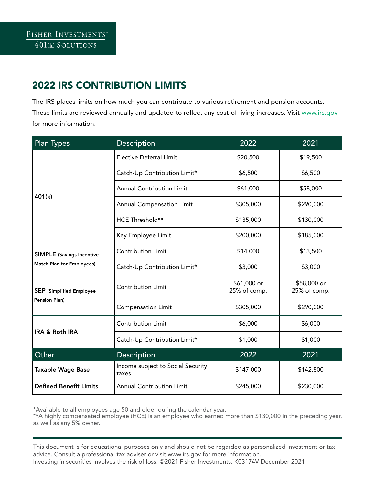## 2022 IRS CONTRIBUTION LIMITS

The IRS places limits on how much you can contribute to various retirement and pension accounts. [These limits are reviewed annually and updated to reflect any cost-of-living increases. Visit www.irs.gov](http://www.irs.gov)  for more information.

| <b>Plan Types</b>                                                    | Description                                | 2022                        | 2021                        |
|----------------------------------------------------------------------|--------------------------------------------|-----------------------------|-----------------------------|
| 401(k)                                                               | <b>Elective Deferral Limit</b>             | \$20,500                    | \$19,500                    |
|                                                                      | Catch-Up Contribution Limit*               | \$6,500                     | \$6,500                     |
|                                                                      | <b>Annual Contribution Limit</b>           | \$61,000                    | \$58,000                    |
|                                                                      | <b>Annual Compensation Limit</b>           | \$305,000                   | \$290,000                   |
|                                                                      | HCE Threshold**                            | \$135,000                   | \$130,000                   |
|                                                                      | Key Employee Limit                         | \$200,000                   | \$185,000                   |
| <b>SIMPLE</b> (Savings Incentive<br><b>Match Plan for Employees)</b> | <b>Contribution Limit</b>                  | \$14,000                    | \$13,500                    |
|                                                                      | Catch-Up Contribution Limit*               | \$3,000                     | \$3,000                     |
| <b>SEP</b> (Simplified Employee<br><b>Pension Plan)</b>              | <b>Contribution Limit</b>                  | \$61,000 or<br>25% of comp. | \$58,000 or<br>25% of comp. |
|                                                                      | <b>Compensation Limit</b>                  | \$305,000                   | \$290,000                   |
| <b>IRA &amp; Roth IRA</b>                                            | Contribution Limit                         | \$6,000                     | \$6,000                     |
|                                                                      | Catch-Up Contribution Limit*               | \$1,000                     | \$1,000                     |
| Other                                                                | Description                                | 2022                        | 2021                        |
| <b>Taxable Wage Base</b>                                             | Income subject to Social Security<br>taxes | \$147,000                   | \$142,800                   |
| <b>Defined Benefit Limits</b>                                        | <b>Annual Contribution Limit</b>           | \$245,000                   | \$230,000                   |

\*Available to all employees age 50 and older during the calendar year.

\*\*A highly compensated employee (HCE) is an employee who earned more than \$130,000 in the preceding year, as well as any 5% owner.

This document is for educational purposes only and should not be regarded as personalized investment or tax advice. Consult a professional tax adviser or visit www.irs.gov for more information. Investing in securities involves the risk of loss. ©2021 Fisher Investments. K03174V December 2021